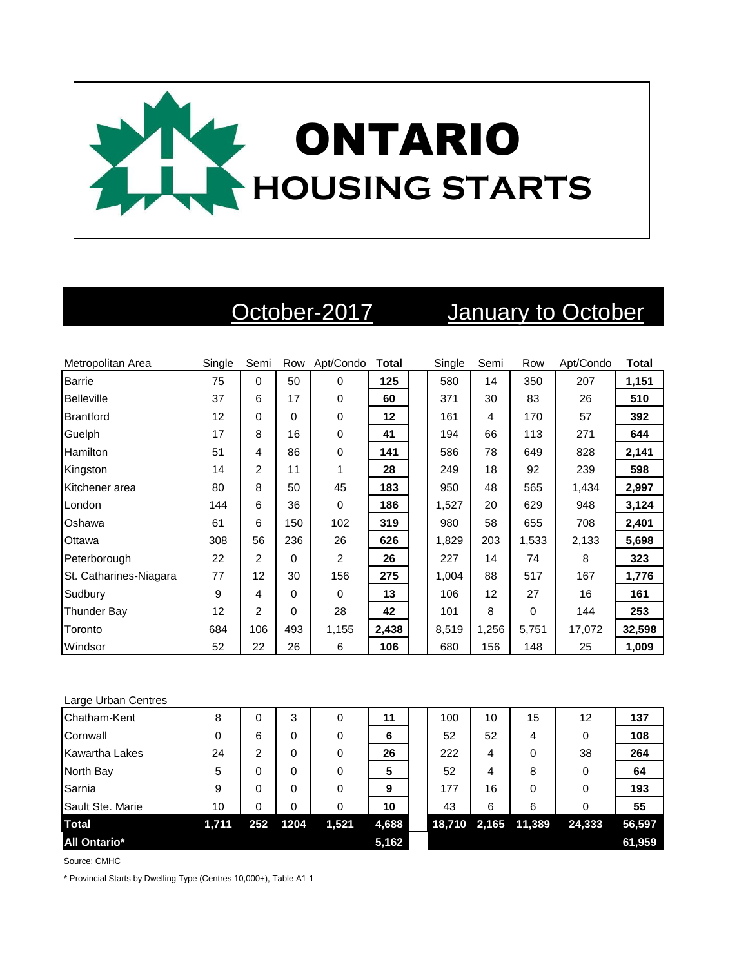

# October-2017 January to October

| Metropolitan Area      | Single | Semi           |          | Row Apt/Condo | <b>Total</b> | Single | Semi  | Row      | Apt/Condo | <b>Total</b> |
|------------------------|--------|----------------|----------|---------------|--------------|--------|-------|----------|-----------|--------------|
| <b>Barrie</b>          | 75     | 0              | 50       | 0             | 125          | 580    | 14    | 350      | 207       | 1,151        |
| <b>Belleville</b>      | 37     | 6              | 17       | 0             | 60           | 371    | 30    | 83       | 26        | 510          |
| <b>Brantford</b>       | 12     | 0              | $\Omega$ | 0             | 12           | 161    | 4     | 170      | 57        | 392          |
| Guelph                 | 17     | 8              | 16       | 0             | 41           | 194    | 66    | 113      | 271       | 644          |
| Hamilton               | 51     | 4              | 86       | 0             | 141          | 586    | 78    | 649      | 828       | 2,141        |
| Kingston               | 14     | 2              | 11       | 1             | 28           | 249    | 18    | 92       | 239       | 598          |
| Kitchener area         | 80     | 8              | 50       | 45            | 183          | 950    | 48    | 565      | 1,434     | 2,997        |
| London                 | 144    | 6              | 36       | 0             | 186          | 1,527  | 20    | 629      | 948       | 3,124        |
| Oshawa                 | 61     | 6              | 150      | 102           | 319          | 980    | 58    | 655      | 708       | 2,401        |
| Ottawa                 | 308    | 56             | 236      | 26            | 626          | 1,829  | 203   | 1,533    | 2,133     | 5,698        |
| Peterborough           | 22     | 2              | $\Omega$ | 2             | 26           | 227    | 14    | 74       | 8         | 323          |
| St. Catharines-Niagara | 77     | 12             | 30       | 156           | 275          | 1,004  | 88    | 517      | 167       | 1,776        |
| Sudbury                | 9      | 4              | $\Omega$ | 0             | 13           | 106    | 12    | 27       | 16        | 161          |
| Thunder Bay            | 12     | $\overline{2}$ | $\Omega$ | 28            | 42           | 101    | 8     | $\Omega$ | 144       | 253          |
| Toronto                | 684    | 106            | 493      | 1,155         | 2,438        | 8,519  | 1,256 | 5,751    | 17,072    | 32,598       |
| Windsor                | 52     | 22             | 26       | 6             | 106          | 680    | 156   | 148      | 25        | 1,009        |

### Large Urban Centres

| Chatham-Kent          | 8     | 0   | 3    | 0        | 11    | 100          | 10 | 15     | 12     | 137    |
|-----------------------|-------|-----|------|----------|-------|--------------|----|--------|--------|--------|
| Cornwall              | 0     | 6   | 0    | 0        | 6     | 52           | 52 | 4      | 0      | 108    |
| <b>Kawartha Lakes</b> | 24    | 2   | 0    | 0        | 26    | 222          | 4  | 0      | 38     | 264    |
| North Bay             | 5     | 0   |      | 0        | 5     | 52           | 4  | 8      | 0      | 64     |
| Sarnia                | 9     | 0   |      | 0        | 9     | 177          | 16 | 0      | 0      | 193    |
| Sault Ste. Marie      | 10    | 0   | 0    | $\Omega$ | 10    | 43           | 6  | 6      |        | 55     |
| <b>Total</b>          | 1,711 | 252 | 1204 | 1,521    | 4,688 | 18,710 2,165 |    | 11,389 | 24,333 | 56,597 |
| <b>All Ontario*</b>   |       |     |      |          | 5,162 |              |    |        |        | 61,959 |

Source: CMHC

\* Provincial Starts by Dwelling Type (Centres 10,000+), Table A1-1